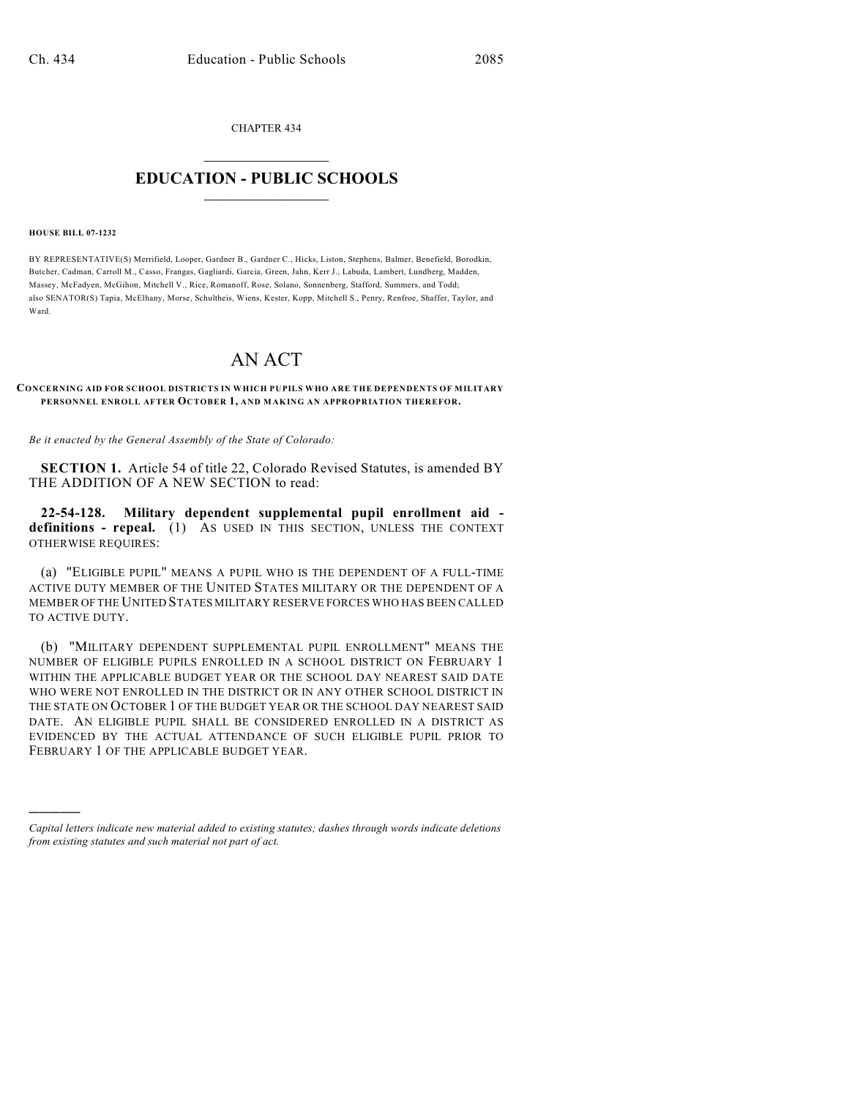CHAPTER 434

## $\overline{\phantom{a}}$  . The set of the set of the set of the set of the set of the set of the set of the set of the set of the set of the set of the set of the set of the set of the set of the set of the set of the set of the set o **EDUCATION - PUBLIC SCHOOLS**  $\_$   $\_$   $\_$   $\_$   $\_$   $\_$   $\_$   $\_$   $\_$

## **HOUSE BILL 07-1232**

)))))

BY REPRESENTATIVE(S) Merrifield, Looper, Gardner B., Gardner C., Hicks, Liston, Stephens, Balmer, Benefield, Borodkin, Butcher, Cadman, Carroll M., Casso, Frangas, Gagliardi, Garcia, Green, Jahn, Kerr J., Labuda, Lambert, Lundberg, Madden, Massey, McFadyen, McGihon, Mitchell V., Rice, Romanoff, Rose, Solano, Sonnenberg, Stafford, Summers, and Todd; also SENATOR(S) Tapia, McElhany, Morse, Schultheis, Wiens, Kester, Kopp, Mitchell S., Penry, Renfroe, Shaffer, Taylor, and Ward.

## AN ACT

**CONCERNING AID FOR SCHOOL DISTRICTS IN WHICH PUPILS WHO ARE THE DEPENDENTS OF MILITARY PERSONNEL ENROLL AFTER OCTOBER 1, AND MAKING AN APPROPRIATION THEREFOR.**

*Be it enacted by the General Assembly of the State of Colorado:*

**SECTION 1.** Article 54 of title 22, Colorado Revised Statutes, is amended BY THE ADDITION OF A NEW SECTION to read:

**22-54-128. Military dependent supplemental pupil enrollment aid definitions - repeal.** (1) AS USED IN THIS SECTION, UNLESS THE CONTEXT OTHERWISE REQUIRES:

(a) "ELIGIBLE PUPIL" MEANS A PUPIL WHO IS THE DEPENDENT OF A FULL-TIME ACTIVE DUTY MEMBER OF THE UNITED STATES MILITARY OR THE DEPENDENT OF A MEMBER OF THE UNITED STATES MILITARY RESERVE FORCES WHO HAS BEEN CALLED TO ACTIVE DUTY.

(b) "MILITARY DEPENDENT SUPPLEMENTAL PUPIL ENROLLMENT" MEANS THE NUMBER OF ELIGIBLE PUPILS ENROLLED IN A SCHOOL DISTRICT ON FEBRUARY 1 WITHIN THE APPLICABLE BUDGET YEAR OR THE SCHOOL DAY NEAREST SAID DATE WHO WERE NOT ENROLLED IN THE DISTRICT OR IN ANY OTHER SCHOOL DISTRICT IN THE STATE ON OCTOBER 1 OF THE BUDGET YEAR OR THE SCHOOL DAY NEAREST SAID DATE. AN ELIGIBLE PUPIL SHALL BE CONSIDERED ENROLLED IN A DISTRICT AS EVIDENCED BY THE ACTUAL ATTENDANCE OF SUCH ELIGIBLE PUPIL PRIOR TO FEBRUARY 1 OF THE APPLICABLE BUDGET YEAR.

*Capital letters indicate new material added to existing statutes; dashes through words indicate deletions from existing statutes and such material not part of act.*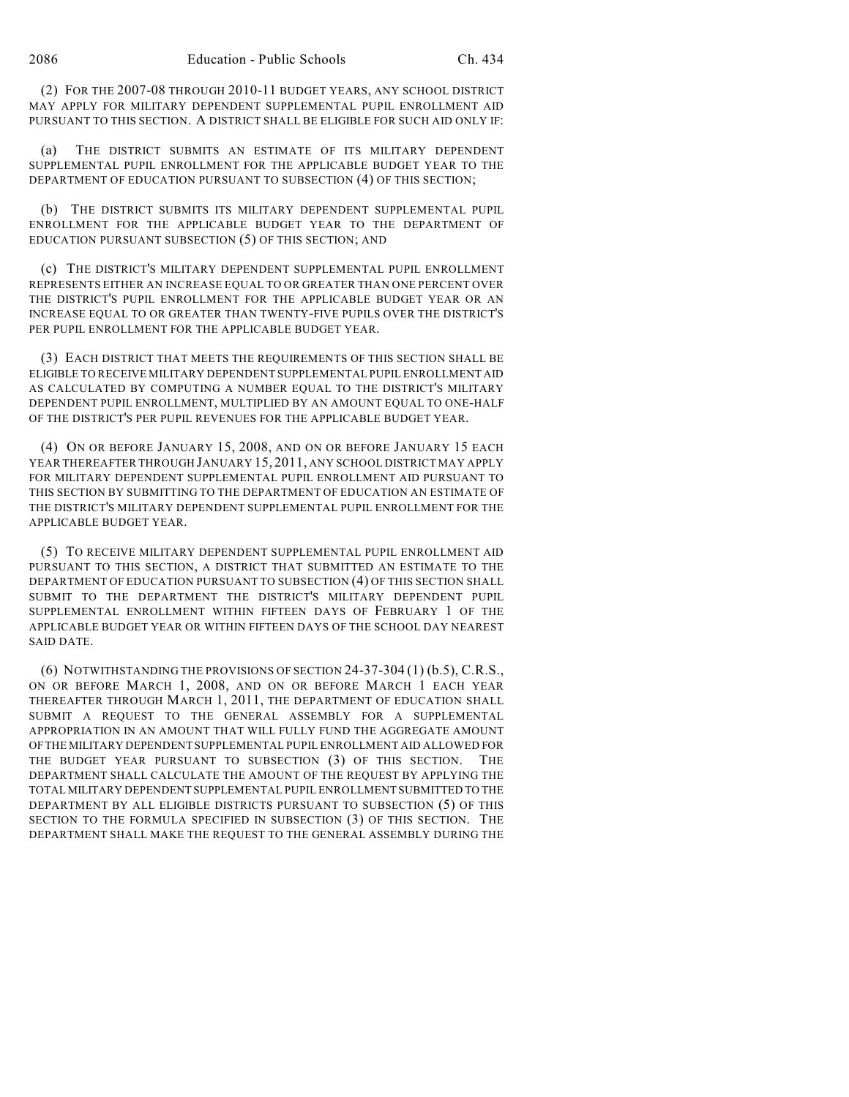(2) FOR THE 2007-08 THROUGH 2010-11 BUDGET YEARS, ANY SCHOOL DISTRICT MAY APPLY FOR MILITARY DEPENDENT SUPPLEMENTAL PUPIL ENROLLMENT AID PURSUANT TO THIS SECTION. A DISTRICT SHALL BE ELIGIBLE FOR SUCH AID ONLY IF:

(a) THE DISTRICT SUBMITS AN ESTIMATE OF ITS MILITARY DEPENDENT SUPPLEMENTAL PUPIL ENROLLMENT FOR THE APPLICABLE BUDGET YEAR TO THE DEPARTMENT OF EDUCATION PURSUANT TO SUBSECTION (4) OF THIS SECTION;

(b) THE DISTRICT SUBMITS ITS MILITARY DEPENDENT SUPPLEMENTAL PUPIL ENROLLMENT FOR THE APPLICABLE BUDGET YEAR TO THE DEPARTMENT OF EDUCATION PURSUANT SUBSECTION (5) OF THIS SECTION; AND

(c) THE DISTRICT'S MILITARY DEPENDENT SUPPLEMENTAL PUPIL ENROLLMENT REPRESENTS EITHER AN INCREASE EQUAL TO OR GREATER THAN ONE PERCENT OVER THE DISTRICT'S PUPIL ENROLLMENT FOR THE APPLICABLE BUDGET YEAR OR AN INCREASE EQUAL TO OR GREATER THAN TWENTY-FIVE PUPILS OVER THE DISTRICT'S PER PUPIL ENROLLMENT FOR THE APPLICABLE BUDGET YEAR.

(3) EACH DISTRICT THAT MEETS THE REQUIREMENTS OF THIS SECTION SHALL BE ELIGIBLE TO RECEIVE MILITARY DEPENDENT SUPPLEMENTAL PUPIL ENROLLMENT AID AS CALCULATED BY COMPUTING A NUMBER EQUAL TO THE DISTRICT'S MILITARY DEPENDENT PUPIL ENROLLMENT, MULTIPLIED BY AN AMOUNT EQUAL TO ONE-HALF OF THE DISTRICT'S PER PUPIL REVENUES FOR THE APPLICABLE BUDGET YEAR.

(4) ON OR BEFORE JANUARY 15, 2008, AND ON OR BEFORE JANUARY 15 EACH YEAR THEREAFTER THROUGH JANUARY 15, 2011, ANY SCHOOL DISTRICT MAY APPLY FOR MILITARY DEPENDENT SUPPLEMENTAL PUPIL ENROLLMENT AID PURSUANT TO THIS SECTION BY SUBMITTING TO THE DEPARTMENT OF EDUCATION AN ESTIMATE OF THE DISTRICT'S MILITARY DEPENDENT SUPPLEMENTAL PUPIL ENROLLMENT FOR THE APPLICABLE BUDGET YEAR.

(5) TO RECEIVE MILITARY DEPENDENT SUPPLEMENTAL PUPIL ENROLLMENT AID PURSUANT TO THIS SECTION, A DISTRICT THAT SUBMITTED AN ESTIMATE TO THE DEPARTMENT OF EDUCATION PURSUANT TO SUBSECTION (4) OF THIS SECTION SHALL SUBMIT TO THE DEPARTMENT THE DISTRICT'S MILITARY DEPENDENT PUPIL SUPPLEMENTAL ENROLLMENT WITHIN FIFTEEN DAYS OF FEBRUARY 1 OF THE APPLICABLE BUDGET YEAR OR WITHIN FIFTEEN DAYS OF THE SCHOOL DAY NEAREST SAID DATE.

(6) NOTWITHSTANDING THE PROVISIONS OF SECTION 24-37-304 (1) (b.5), C.R.S., ON OR BEFORE MARCH 1, 2008, AND ON OR BEFORE MARCH 1 EACH YEAR THEREAFTER THROUGH MARCH 1, 2011, THE DEPARTMENT OF EDUCATION SHALL SUBMIT A REQUEST TO THE GENERAL ASSEMBLY FOR A SUPPLEMENTAL APPROPRIATION IN AN AMOUNT THAT WILL FULLY FUND THE AGGREGATE AMOUNT OF THE MILITARY DEPENDENT SUPPLEMENTAL PUPIL ENROLLMENT AID ALLOWED FOR THE BUDGET YEAR PURSUANT TO SUBSECTION (3) OF THIS SECTION. THE DEPARTMENT SHALL CALCULATE THE AMOUNT OF THE REQUEST BY APPLYING THE TOTAL MILITARY DEPENDENT SUPPLEMENTAL PUPIL ENROLLMENT SUBMITTED TO THE DEPARTMENT BY ALL ELIGIBLE DISTRICTS PURSUANT TO SUBSECTION (5) OF THIS SECTION TO THE FORMULA SPECIFIED IN SUBSECTION (3) OF THIS SECTION. THE DEPARTMENT SHALL MAKE THE REQUEST TO THE GENERAL ASSEMBLY DURING THE